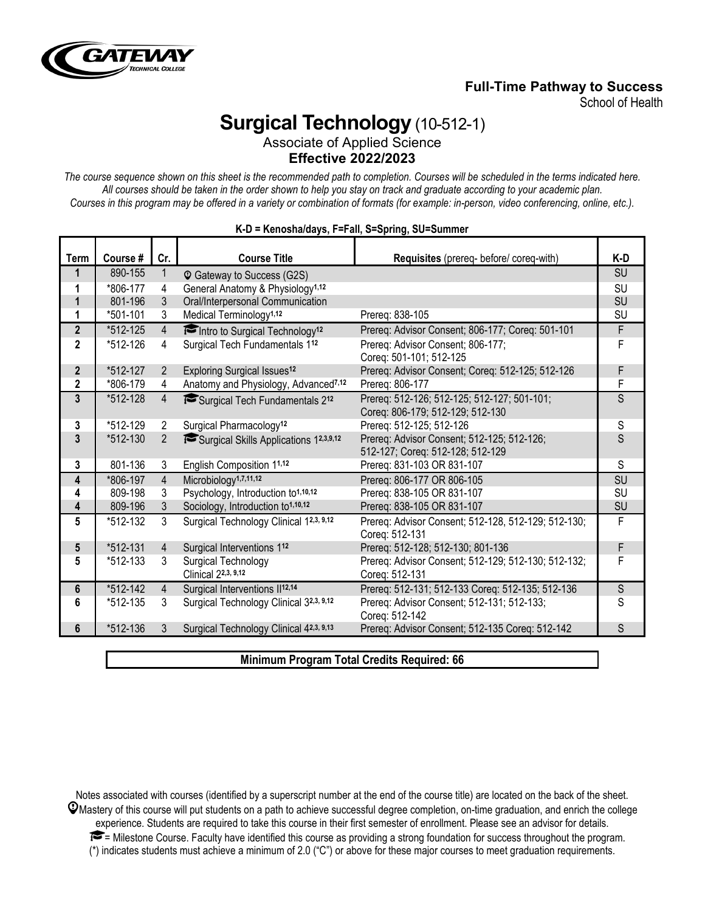

# **Full-Time Pathway to Success**

School of Health

# **Surgical Technology** (10-512-1)

Associate of Applied Science **Effective 2022/2023**

*The course sequence shown on this sheet is the recommended path to completion. Courses will be scheduled in the terms indicated here. All courses should be taken in the order shown to help you stay on track and graduate according to your academic plan. Courses in this program may be offered in a variety or combination of formats (for example: in-person, video conferencing, online, etc.).*

| Term           | Course # | Cr.            | <b>Course Title</b>                              | Requisites (prereq- before/ coreq-with)                               | K-D         |
|----------------|----------|----------------|--------------------------------------------------|-----------------------------------------------------------------------|-------------|
| 1              | 890-155  | 1              | <sup>©</sup> Gateway to Success (G2S)            |                                                                       | <b>SU</b>   |
| 1              | *806-177 | 4              | General Anatomy & Physiology <sup>1,12</sup>     |                                                                       | SU          |
| $\mathbf{1}$   | 801-196  | 3              | Oral/Interpersonal Communication                 |                                                                       | SU          |
| 1              | *501-101 | 3              | Medical Terminology <sup>1,12</sup>              | Prereq: 838-105                                                       | SU          |
| $\mathbf{2}$   | *512-125 | $\overline{4}$ | Intro to Surgical Technology <sup>12</sup>       | Prereq: Advisor Consent; 806-177; Coreq: 501-101                      | F           |
| $\overline{2}$ | *512-126 | 4              | Surgical Tech Fundamentals 112                   | Prereq: Advisor Consent; 806-177;                                     | F           |
|                |          |                |                                                  | Coreq: 501-101; 512-125                                               |             |
| $\overline{2}$ | *512-127 | 2              | <b>Exploring Surgical Issues<sup>12</sup></b>    | Prereq: Advisor Consent; Coreq: 512-125; 512-126                      | F           |
| $\overline{2}$ | *806-179 | 4              | Anatomy and Physiology, Advanced <sup>7,12</sup> | Prereq: 806-177                                                       | F           |
| 3              | *512-128 | $\overline{4}$ | Surgical Tech Fundamentals 212                   | Prereq: 512-126; 512-125; 512-127; 501-101;                           | S           |
|                |          |                |                                                  | Coreq: 806-179; 512-129; 512-130                                      |             |
| 3              | *512-129 | $\overline{2}$ | Surgical Pharmacology <sup>12</sup>              | Prereq: 512-125; 512-126                                              | S           |
| 3              | *512-130 | $\overline{2}$ | Surgical Skills Applications 12,3,9,12           | Prereq: Advisor Consent; 512-125; 512-126;                            | S           |
|                |          |                |                                                  | 512-127; Coreq: 512-128; 512-129                                      |             |
| 3              | 801-136  | 3              | English Composition 11,12                        | Prereq: 831-103 OR 831-107                                            | S           |
| 4              | *806-197 | $\overline{4}$ | Microbiology <sup>1,7,11,12</sup>                | Prereq: 806-177 OR 806-105                                            | SU          |
| 4              | 809-198  | 3              | Psychology, Introduction to <sup>1,10,12</sup>   | Prereq: 838-105 OR 831-107                                            | SU          |
| 4              | 809-196  | 3              | Sociology, Introduction to <sup>1,10,12</sup>    | Prereq: 838-105 OR 831-107                                            | SU          |
| 5              | *512-132 | 3              | Surgical Technology Clinical 12,3, 9,12          | Prereq: Advisor Consent; 512-128, 512-129; 512-130;<br>Coreg: 512-131 | F           |
| 5              | *512-131 | $\overline{4}$ | Surgical Interventions 112                       | Prereq: 512-128; 512-130; 801-136                                     | F           |
| 5              | *512-133 | 3              | Surgical Technology                              | Prereq: Advisor Consent; 512-129; 512-130; 512-132;                   | F           |
|                |          |                | Clinical 22,3, 9,12                              | Coreq: 512-131                                                        |             |
| 6              | *512-142 | $\overline{4}$ | Surgical Interventions II <sup>12,14</sup>       | Prereq: 512-131; 512-133 Coreq: 512-135; 512-136                      | $\mathsf S$ |
| 6              | *512-135 | 3              | Surgical Technology Clinical 32,3, 9,12          | Prereq: Advisor Consent; 512-131; 512-133;                            | S           |
|                |          |                |                                                  | Coreg: 512-142                                                        |             |
| 6              | *512-136 | 3              | Surgical Technology Clinical 42,3, 9,13          | Prereq: Advisor Consent; 512-135 Coreq: 512-142                       | S           |
|                |          |                |                                                  |                                                                       |             |

#### **K-D = Kenosha/days, F=Fall, S=Spring, SU=Summer**

**Minimum Program Total Credits Required: 66**

Notes associated with courses (identified by a superscript number at the end of the course title) are located on the back of the sheet.  $\mathcal Q$ Mastery of this course will put students on a path to achieve successful degree completion, on-time graduation, and enrich the college experience. Students are required to take this course in their first semester of enrollment. Please see an advisor for details.  $\blacktriangleright$  = Milestone Course. Faculty have identified this course as providing a strong foundation for success throughout the program. (\*) indicates students must achieve a minimum of 2.0 ("C") or above for these major courses to meet graduation requirements.